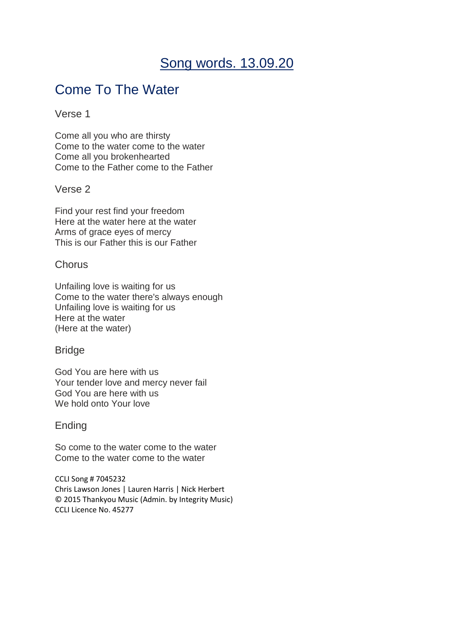# Song words. 13.09.20

# Come To The Water

#### Verse 1

Come all you who are thirsty Come to the water come to the water Come all you brokenhearted Come to the Father come to the Father

### Verse 2

Find your rest find your freedom Here at the water here at the water Arms of grace eyes of mercy This is our Father this is our Father

### **Chorus**

Unfailing love is waiting for us Come to the water there's always enough Unfailing love is waiting for us Here at the water (Here at the water)

### **Bridge**

God You are here with us Your tender love and mercy never fail God You are here with us We hold onto Your love

#### Ending

So come to the water come to the water Come to the water come to the water

CCLI Song # 7045232 Chris Lawson Jones | Lauren Harris | Nick Herbert © 2015 Thankyou Music (Admin. by Integrity Music) CCLI Licence No. 45277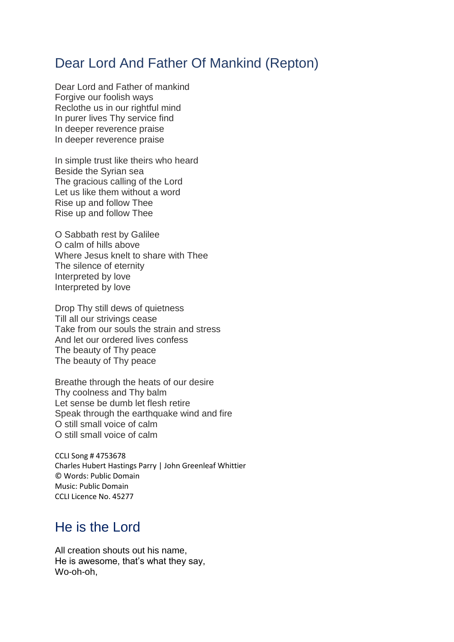# Dear Lord And Father Of Mankind (Repton)

Dear Lord and Father of mankind Forgive our foolish ways Reclothe us in our rightful mind In purer lives Thy service find In deeper reverence praise In deeper reverence praise

In simple trust like theirs who heard Beside the Syrian sea The gracious calling of the Lord Let us like them without a word Rise up and follow Thee Rise up and follow Thee

O Sabbath rest by Galilee O calm of hills above Where Jesus knelt to share with Thee The silence of eternity Interpreted by love Interpreted by love

Drop Thy still dews of quietness Till all our strivings cease Take from our souls the strain and stress And let our ordered lives confess The beauty of Thy peace The beauty of Thy peace

Breathe through the heats of our desire Thy coolness and Thy balm Let sense be dumb let flesh retire Speak through the earthquake wind and fire O still small voice of calm O still small voice of calm

CCLI Song # 4753678 Charles Hubert Hastings Parry | John Greenleaf Whittier © Words: Public Domain Music: Public Domain CCLI Licence No. 45277

### He is the Lord

All creation shouts out his name, He is awesome, that's what they say, Wo-oh-oh,